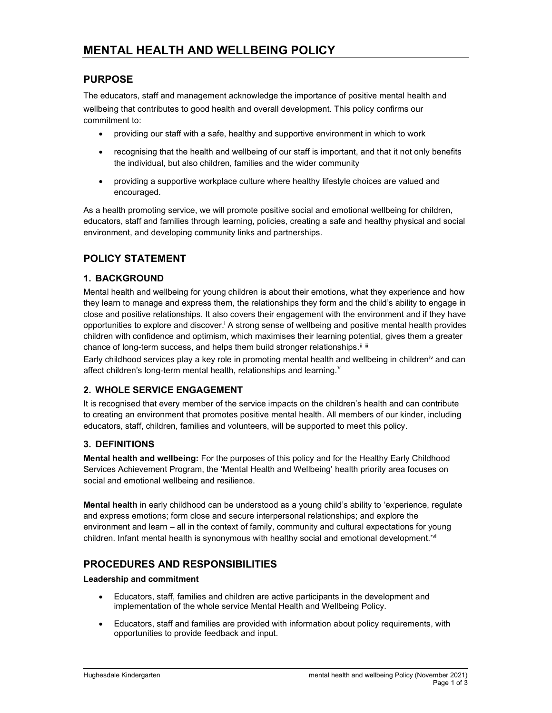# PURPOSE

The educators, staff and management acknowledge the importance of positive mental health and wellbeing that contributes to good health and overall development. This policy confirms our commitment to:

- providing our staff with a safe, healthy and supportive environment in which to work
- recognising that the health and wellbeing of our staff is important, and that it not only benefits the individual, but also children, families and the wider community
- providing a supportive workplace culture where healthy lifestyle choices are valued and encouraged.

As a health promoting service, we will promote positive social and emotional wellbeing for children, educators, staff and families through learning, policies, creating a safe and healthy physical and social environment, and developing community links and partnerships.

# POLICY STATEMENT

### 1. BACKGROUND

Mental health and wellbeing for young children is about their emotions, what they experience and how they learn to manage and express them, the relationships they form and the child's ability to engage in close and positive relationships. It also covers their engagement with the environment and if they have opportunities to explore and discover.<sup>i</sup> A strong sense of wellbeing and positive mental health provides children with confidence and optimism, which maximises their learning potential, gives them a greater chance of long-term success, and helps them build stronger relationships.<sup>ii iii</sup>

Early childhood services play a key role in promoting mental health and wellbeing in children<sup>iv</sup> and can affect children's long-term mental health, relationships and learning. $V$ 

### 2. WHOLE SERVICE ENGAGEMENT

It is recognised that every member of the service impacts on the children's health and can contribute to creating an environment that promotes positive mental health. All members of our kinder, including educators, staff, children, families and volunteers, will be supported to meet this policy.

### 3. DEFINITIONS

Mental health and wellbeing: For the purposes of this policy and for the Healthy Early Childhood Services Achievement Program, the 'Mental Health and Wellbeing' health priority area focuses on social and emotional wellbeing and resilience.

Mental health in early childhood can be understood as a young child's ability to 'experience, regulate and express emotions; form close and secure interpersonal relationships; and explore the environment and learn – all in the context of family, community and cultural expectations for young children. Infant mental health is synonymous with healthy social and emotional development.<sup>'vi</sup>

# PROCEDURES AND RESPONSIBILITIES

### Leadership and commitment

- Educators, staff, families and children are active participants in the development and implementation of the whole service Mental Health and Wellbeing Policy.
- Educators, staff and families are provided with information about policy requirements, with opportunities to provide feedback and input.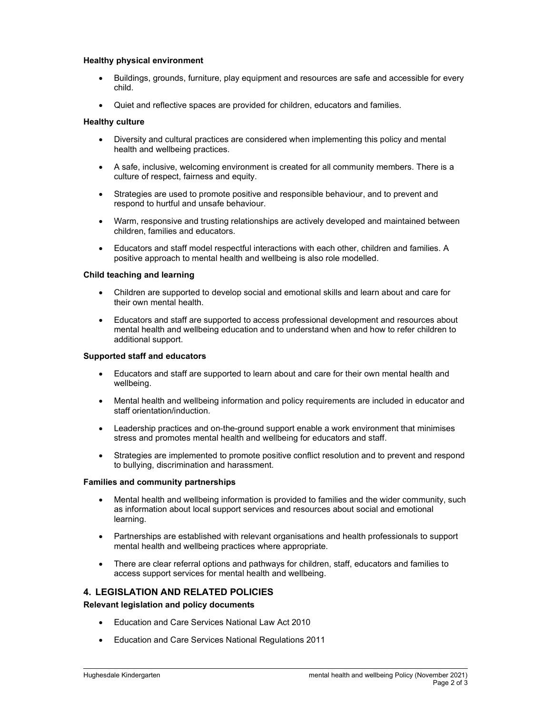#### Healthy physical environment

- Buildings, grounds, furniture, play equipment and resources are safe and accessible for every child.
- Quiet and reflective spaces are provided for children, educators and families.

#### Healthy culture

- Diversity and cultural practices are considered when implementing this policy and mental health and wellbeing practices.
- A safe, inclusive, welcoming environment is created for all community members. There is a culture of respect, fairness and equity.
- Strategies are used to promote positive and responsible behaviour, and to prevent and respond to hurtful and unsafe behaviour.
- Warm, responsive and trusting relationships are actively developed and maintained between children, families and educators.
- Educators and staff model respectful interactions with each other, children and families. A positive approach to mental health and wellbeing is also role modelled.

#### Child teaching and learning

- Children are supported to develop social and emotional skills and learn about and care for their own mental health.
- Educators and staff are supported to access professional development and resources about mental health and wellbeing education and to understand when and how to refer children to additional support.

#### Supported staff and educators

- Educators and staff are supported to learn about and care for their own mental health and wellbeing.
- Mental health and wellbeing information and policy requirements are included in educator and staff orientation/induction.
- Leadership practices and on-the-ground support enable a work environment that minimises stress and promotes mental health and wellbeing for educators and staff.
- Strategies are implemented to promote positive conflict resolution and to prevent and respond to bullying, discrimination and harassment.

#### Families and community partnerships

- Mental health and wellbeing information is provided to families and the wider community, such as information about local support services and resources about social and emotional learning.
- Partnerships are established with relevant organisations and health professionals to support mental health and wellbeing practices where appropriate.
- There are clear referral options and pathways for children, staff, educators and families to access support services for mental health and wellbeing.

### 4. LEGISLATION AND RELATED POLICIES

Relevant legislation and policy documents

- Education and Care Services National Law Act 2010
- Education and Care Services National Regulations 2011